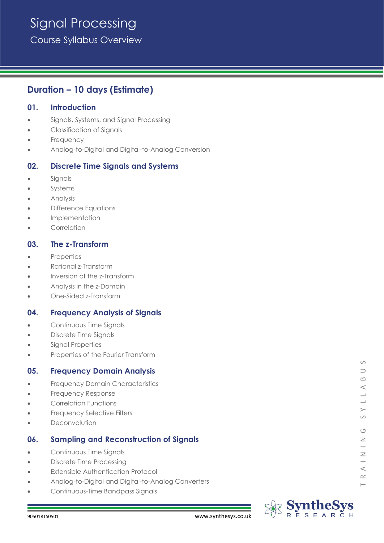# Signal Processing

Course Syllabus Overview

# **Duration – 10 days (Estimate)**

## **01. Introduction**

- Signals, Systems, and Signal Processing
- Classification of Signals
- **Frequency**
- Analog-to-Digital and Digital-to-Analog Conversion

# **02. Discrete Time Signals and Systems**

- **Signals**
- **Systems**
- Analysis
- Difference Equations
- Implementation
- **Correlation**

# **03. The z-Transform**

- **Properties**
- Rational z-Transform
- Inversion of the z-Transform
- Analysis in the z-Domain
- One-Sided z-Transform

# **04. Frequency Analysis of Signals**

- Continuous Time Signals
- Discrete Time Signals
- Signal Properties
- Properties of the Fourier Transform

#### **05. Frequency Domain Analysis**

- Frequency Domain Characteristics
- Frequency Response
- Correlation Functions
- **Frequency Selective Filters**
- **Deconvolution**

# **06. Sampling and Reconstruction of Signals**

- Continuous Time Signals
- Discrete Time Processing
- **Extensible Authentication Protocol**
- Analog-to-Digital and Digital-to-Analog Converters
- Continuous-Time Bandpass Signals



 $\vdash$ 

 $\circ$  $\supset$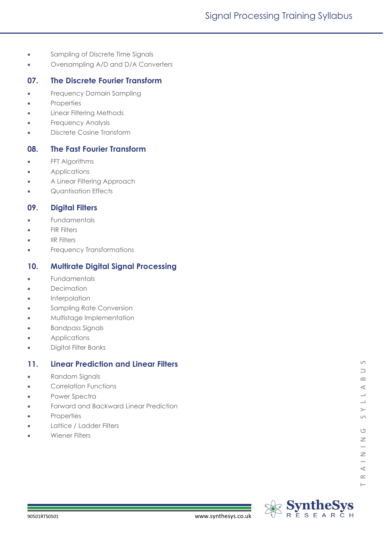- Sampling of Discrete Time Signals
- Oversampling A/D and D/A Converters

#### **07. The Discrete Fourier Transform**

- Frequency Domain Sampling
- **Properties**
- Linear Filtering Methods
- **Frequency Analysis**
- Discrete Cosine Transform

#### **08. The Fast Fourier Transform**

- FFT Algorithms
- Applications
- A Linear Filtering Approach
- Quantisation Effects

#### **09. Digital Filters**

- **Fundamentals**
- **FIR Filters**
- **IIR Filters**
- Frequency Transformations

#### **10. Multirate Digital Signal Processing**

- **Fundamentals**
- Decimation
- **Interpolation**
- Sampling Rate Conversion
- Multistage Implementation
- Bandpass Signals
- Applications
- Digital Filter Banks

## **11. Linear Prediction and Linear Filters**

- Random Signals
- Correlation Functions
- Power Spectra
- Forward and Backward Linear Prediction
- **Properties**
- Lattice / Ladder Filters
- Wiener Filters

 $\circ$